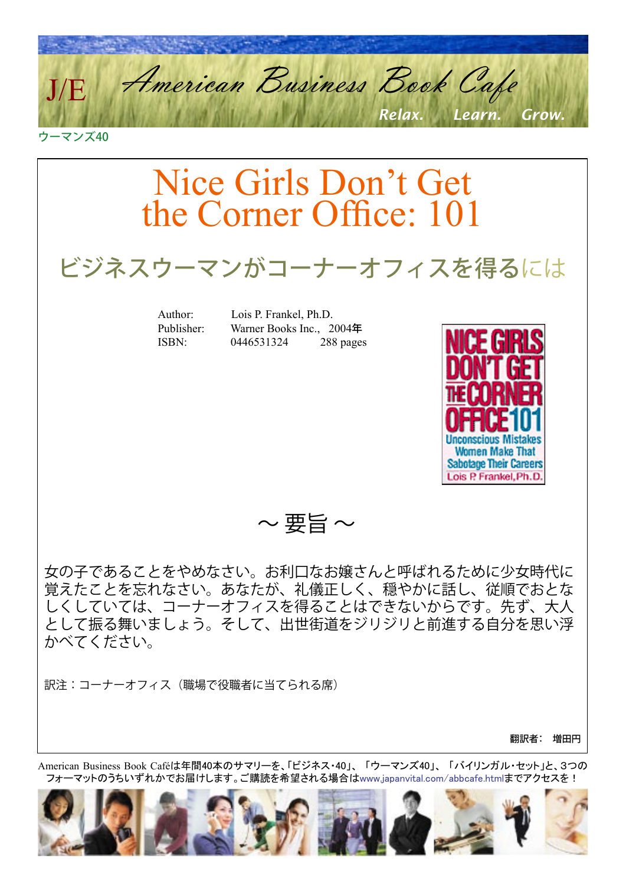American Business Book Cafe *Relax. Learn. Grow.* J/E

ウーマンズ40

Nice Girls Don't Get the Corner Office: 101 ビジネスウーマンがコーナーオフィスを得るには Author: Lois P. Frankel, Ph.D. Publisher: Warner Books Inc., 2004年 ISBN: 0446531324 288 pages **Women Make That Sabotage Their Careers** Lois P. Frankel, Ph.D  $\sim$ 要旨 $\sim$ 女の子であることをやめなさい。お利口なお嬢さんと呼ばれるために少女時代に 覚えたことを忘れなさい。あなたが、礼儀正しく、穏やかに話し、従順でおとな しくしていては、コーナーオフィスを得ることはできないからです。先ず、大人 として振る舞いましょう。そして、出世街道をジリジリと前進する自分を思い浮 かべてください。

訳注:コーナーオフィス(職場で役職者に当てられる席)

翻訳者: 増田円

American Business Book Caféは年間40本のサマリーを、「ビジネス・40」、 「ウーマンズ40」、 「バイリンガル・セット」と、3つの フォーマットのうちいずれかでお届けします。ご購読を希望される場合[はwww.japanvital.com/abbcafe.htmlま](http://www.japanvital.com/abbcafe.html)でアクセスを!

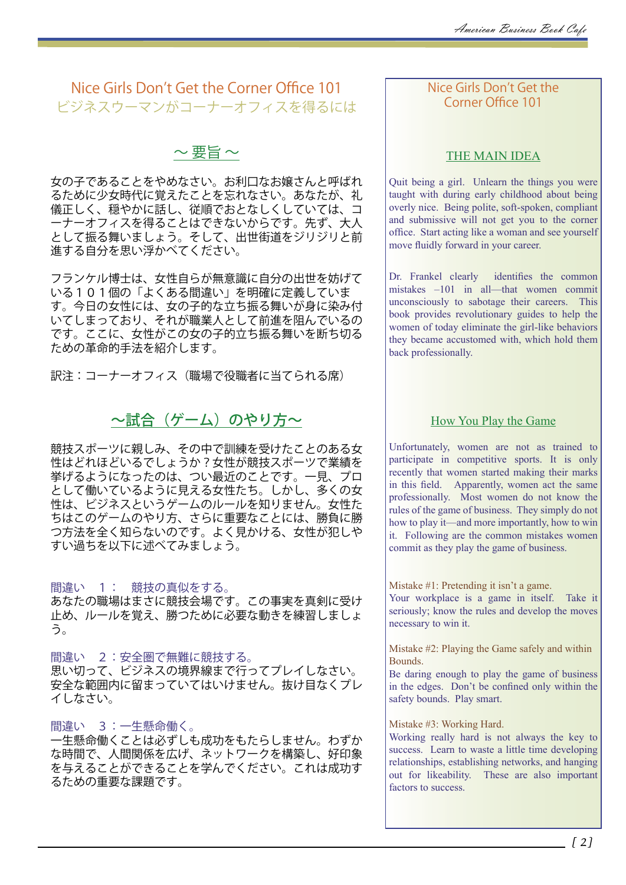# Nice Girls Don't Get the Corner Office 101 ビジネスウーマンがコーナーオフィスを得るには

 $\sim$  要旨 $\sim$ 

女の子であることをやめなさい。お利口なお嬢さんと呼ばれ るために少女時代に覚えたことを忘れなさい。あなたが、礼 儀正しく、穏やかに話し、従順でおとなしくしていては、コ ーナーオフィスを得ることはできないからです。先ず、大人 として振る舞いましょう。そして、出世街道をジリジリと前 進する自分を思い浮かべてください。

フランケル博士は、女性自らが無意識に自分の出世を妨げて いる101個の「よくある間違い」を明確に定義していま す。今日の女性には、女の子的な立ち振る舞いが身に染み付 いてしまっており、それが職業人として前進を阻んでいるの です。ここに、女性がこの女の子的立ち振る舞いを断ち切る ための革命的手法を紹介します。

訳注:コーナーオフィス(職場で役職者に当てられる席)

# ~試合(ゲーム)のやり方~

競技スポーツに親しみ、その中で訓練を受けたことのある女 性はどれほどいるでしょうか?女性が競技スポーツで業績を 挙げるようになったのは、つい最近のことです。一見、プロ として働いているように見える女性たち。しかし、多くの女 性は、ビジネスというゲームのルールを知りません。女性た ちはこのゲームのやり方、さらに重要なことには、勝負に勝 つ方法を全く知らないのです。よく見かける、女性が犯しや すい過ちを以下に述べてみましょう。

間違い 1: 競技の真似をする。 あなたの職場はまさに競技会場です。この事実を真剣に受け 止め、ルールを覚え、勝つために必要な動きを練習しましょ う。

間違い 2:安全圏で無難に競技する。 思い切って、ビジネスの境界線まで行ってプレイしなさい。 安全な範囲内に留まっていてはいけません。抜け目なくプレ イしなさい。

間違い 3:一生懸命働く。

一生懸命働くことは必ずしも成功をもたらしません。わずか な時間で、人間関係を広げ、ネットワークを構築し、好印象 を与えることができることを学んでください。これは成功す るための重要な課題です。

## Nice Girls Don't Get the Corner Office 101

## THE MAIN IDEA

Quit being a girl. Unlearn the things you were taught with during early childhood about being overly nice. Being polite, soft-spoken, compliant and submissive will not get you to the corner office. Start acting like a woman and see yourself move fluidly forward in your career.

Dr. Frankel clearly identifies the common mistakes –101 in all—that women commit unconsciously to sabotage their careers. This book provides revolutionary guides to help the women of today eliminate the girl-like behaviors they became accustomed with, which hold them back professionally.

## How You Play the Game

Unfortunately, women are not as trained to participate in competitive sports. It is only recently that women started making their marks in this field. Apparently, women act the same professionally. Most women do not know the rules of the game of business. They simply do not how to play it—and more importantly, how to win it. Following are the common mistakes women commit as they play the game of business.

Mistake #1: Pretending it isn't a game. Your workplace is a game in itself. Take it seriously; know the rules and develop the moves necessary to win it.

Mistake #2: Playing the Game safely and within Bounds.

Be daring enough to play the game of business in the edges. Don't be confined only within the safety bounds. Play smart.

### Mistake #3: Working Hard.

Working really hard is not always the key to success. Learn to waste a little time developing relationships, establishing networks, and hanging out for likeability. These are also important factors to success.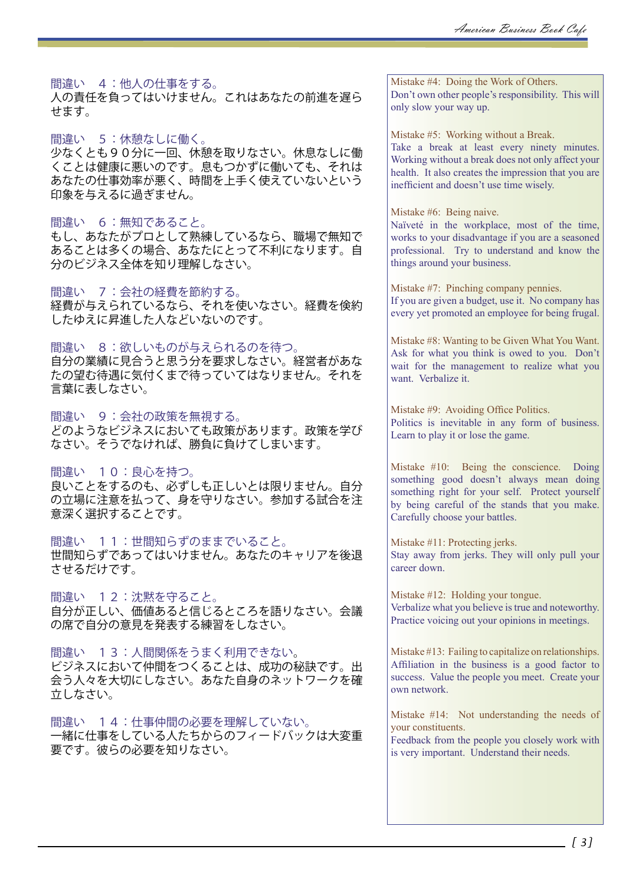### 間違い 4:他人の仕事をする。

人の責任を負ってはいけません。これはあなたの前進を遅ら せます。

間違い 5:休憩なしに働く。

少なくとも90分に一回、休憩を取りなさい。休息なしに働 くことは健康に悪いのです。息もつかずに働いても、それは あなたの仕事効率が悪く、時間を上手く使えていないという 印象を与えるに過ぎません。

### 間違い 6:無知であること。

もし、あなたがプロとして熟練しているなら、職場で無知で あることは多くの場合、あなたにとって不利になります。自 分のビジネス全体を知り理解しなさい。

間違い 7:会社の経費を節約する。

経費が与えられているなら、それを使いなさい。経費を倹約 したゆえに昇進した人などいないのです。

### 間違い 8:欲しいものが与えられるのを待つ。

自分の業績に見合うと思う分を要求しなさい。経営者があな たの望む待遇に気付くまで待っていてはなりません。それを 言葉に表しなさい。

間違い 9:会社の政策を無視する。

どのようなビジネスにおいても政策があります。政策を学び なさい。そうでなければ、勝負に負けてしまいます。

間違い 10:良心を持つ。

良いことをするのも、必ずしも正しいとは限りません。自分 の立場に注意を払って、身を守りなさい。参加する試合を注 意深く選択することです。

間違い 11:世間知らずのままでいること。 世間知らずであってはいけません。あなたのキャリアを後退 させるだけです。

間違い 12:沈黙を守ること。 自分が正しい、価値あると信じるところを語りなさい。会議 の席で自分の意見を発表する練習をしなさい。

間違い 13:人間関係をうまく利用できない。 ビジネスにおいて仲間をつくることは、成功の秘訣です。出 会う人々を大切にしなさい。あなた自身のネットワークを確 立しなさい。

間違い 14:仕事仲間の必要を理解していない。 一緒に仕事をしている人たちからのフィードバックは大変重 要です。彼らの必要を知りなさい。

Mistake #4: Doing the Work of Others. Don't own other people's responsibility. This will only slow your way up.

Mistake #5: Working without a Break. Take a break at least every ninety minutes. Working without a break does not only affect your health. It also creates the impression that you are inefficient and doesn't use time wisely.

Mistake #6: Being naive.

Naїveté in the workplace, most of the time, works to your disadvantage if you are a seasoned professional. Try to understand and know the things around your business.

Mistake #7: Pinching company pennies. If you are given a budget, use it. No company has every yet promoted an employee for being frugal.

Mistake #8: Wanting to be Given What You Want. Ask for what you think is owed to you. Don't wait for the management to realize what you want. Verbalize it.

Mistake #9: Avoiding Office Politics. Politics is inevitable in any form of business. Learn to play it or lose the game.

Mistake #10: Being the conscience. Doing something good doesn't always mean doing something right for your self. Protect yourself by being careful of the stands that you make. Carefully choose your battles.

Mistake #11: Protecting jerks. Stay away from jerks. They will only pull your career down.

Mistake #12: Holding your tongue. Verbalize what you believe is true and noteworthy. Practice voicing out your opinions in meetings.

Mistake #13: Failing to capitalize on relationships. Affiliation in the business is a good factor to success. Value the people you meet. Create your own network.

Mistake #14: Not understanding the needs of your constituents.

Feedback from the people you closely work with is very important. Understand their needs.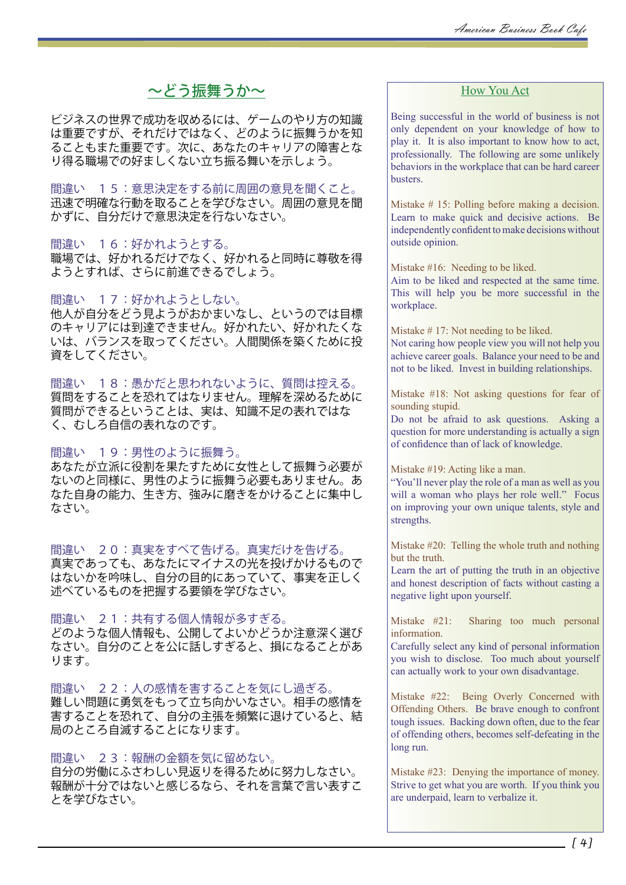# ~どう振舞うか~

ビジネスの世界で成功を収めるには、ゲームのやり方の知識 は重要ですが、それだけではなく、どのように振舞うかを知 ることもまた重要です。次に、あなたのキャリアの障害とな り得る職場での好ましくない立ち振る舞いを示しょう。

間違い 15:意思決定をする前に周囲の意見を聞くこと。 迅速で明確な行動を取ることを学びなさい。周囲の意見を聞 かずに、自分だけで意思決定を行ないなさい。

間違い 16:好かれようとする。

職場では、好かれるだけでなく、好かれると同時に尊敬を得 ようとすれば、さらに前進できるでしょう。

間違い 17:好かれようとしない。

他人が自分をどう見ようがおかまいなし、というのでは目標 のキャリアには到達できません。好かれたい、好かれたくな いは、バランスを取ってください。人間関係を築くために投 資をしてください。

間違い 18:愚かだと思われないように、質問は控える。 質問をすることを恐れてはなりません。理解を深めるために 質問ができるということは、実は、知識不足の表れではな く、むしろ自信の表れなのです。

間違い 19:男性のように振舞う。 あなたが立派に役割を果たすために女性として振舞う必要が ないのと同様に、男性のように振舞う必要もありません。あ なた自身の能力、生き方、強みに磨きをかけることに集中し なさい。

間違い 20:真実をすべて告げる。真実だけを告げる。 真実であっても、あなたにマイナスの光を投げかけるもので はないかを吟味し、自分の目的にあっていて、事実を正しく 述べているものを把握する要領を学びなさい。

間違い 21:共有する個人情報が多すぎる。 どのような個人情報も、公開してよいかどうか注意深く選び なさい。自分のことを公に話しすぎると、損になることがあ ります。

間違い 22:人の感情を害することを気にし過ぎる。 難しい問題に勇気をもって立ち向かいなさい。相手の感情を 害することを恐れて、自分の主張を頻繁に退けていると、結 局のところ自滅することになります。

間違い 23:報酬の金額を気に留めない。 自分の労働にふさわしい見返りを得るために努力しなさい。 報酬が十分ではないと感じるなら、それを言葉で言い表すこ とを学びなさい。

## How You Act

Being successful in the world of business is not only dependent on your knowledge of how to play it. It is also important to know how to act, professionally. The following are some unlikely behaviors in the workplace that can be hard career busters.

Mistake # 15: Polling before making a decision. Learn to make quick and decisive actions. Be independently confident to make decisions without outside opinion.

Mistake #16: Needing to be liked.

Aim to be liked and respected at the same time. This will help you be more successful in the workplace.

Mistake # 17: Not needing to be liked. Not caring how people view you will not help you achieve career goals. Balance your need to be and not to be liked. Invest in building relationships.

Mistake #18: Not asking questions for fear of sounding stupid.

Do not be afraid to ask questions. Asking a question for more understanding is actually a sign of confidence than of lack of knowledge.

Mistake #19: Acting like a man.

"You'll never play the role of a man as well as you will a woman who plays her role well." Focus on improving your own unique talents, style and strengths.

Mistake #20: Telling the whole truth and nothing but the truth.

Learn the art of putting the truth in an objective and honest description of facts without casting a negative light upon yourself.

Mistake #21: Sharing too much personal information.

Carefully select any kind of personal information you wish to disclose. Too much about yourself can actually work to your own disadvantage.

Mistake #22: Being Overly Concerned with Offending Others. Be brave enough to confront tough issues. Backing down often, due to the fear of offending others, becomes self-defeating in the long run.

Mistake #23: Denying the importance of money. Strive to get what you are worth. If you think you are underpaid, learn to verbalize it.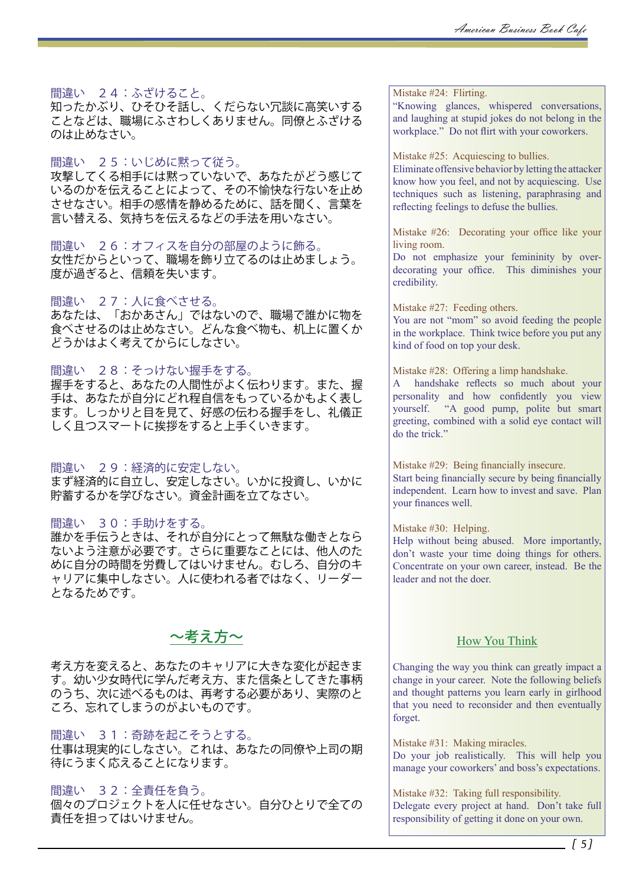間違い 24:ふざけること。

知ったかぶり、ひそひそ話し、くだらない冗談に高笑いする ことなどは、職場にふさわしくありません。同僚とふざける のは止めなさい。

間違い 25:いじめに黙って従う。

攻撃してくる相手には黙っていないで、あなたがどう感じて いるのかを伝えることによって、その不愉快な行ないを止め させなさい。相手の感情を静めるために、話を聞く、言葉を 言い替える、気持ちを伝えるなどの手法を用いなさい。

間違い 26:オフィスを自分の部屋のように飾る。 女性だからといって、職場を飾り立てるのは止めましょう。 度が過ぎると、信頼を失います。

### 間違い 27:人に食べさせる。

あなたは、「おかあさん」ではないので、職場で誰かに物を 食べさせるのは止めなさい。どんな食べ物も、机上に置くか どうかはよく考えてからにしなさい。

### 間違い 28:そっけない握手をする。

握手をすると、あなたの人間性がよく伝わります。また、握 手は、あなたが自分にどれ程自信をもっているかもよく表し ます。しっかりと目を見て、好感の伝わる握手をし、礼儀正 しく且つスマートに挨拶をすると上手くいきます。

間違い 29:経済的に安定しない。

まず経済的に自立し、安定しなさい。いかに投資し、いかに 貯蓄するかを学びなさい。資金計画を立てなさい。

間違い 30:手助けをする。

誰かを手伝うときは、それが自分にとって無駄な働きとなら ないよう注意が必要です。さらに重要なことには、他人のた めに自分の時間を労費してはいけません。むしろ、自分のキ ャリアに集中しなさい。人に使われる者ではなく、リーダー となるためです。

# $\sim$ 考え方 $\sim$

考え方を変えると、あなたのキャリアに大きな変化が起きま す。幼い少女時代に学んだ考え方、また信条としてきた事柄 のうち、次に述べるものは、再考する必要があり、実際のと ころ、忘れてしまうのがよいものです。

間違い 31:奇跡を起こそうとする。

仕事は現実的にしなさい。これは、あなたの同僚や上司の期 待にうまく応えることになります。

間違い 32:全責任を負う。

個々のプロジェクトを人に任せなさい。自分ひとりで全ての 責任を担ってはいけません。

Mistake #24: Flirting.

"Knowing glances, whispered conversations, and laughing at stupid jokes do not belong in the workplace." Do not flirt with your coworkers.

Mistake #25: Acquiescing to bullies.

Eliminate offensive behavior by letting the attacker know how you feel, and not by acquiescing. Use techniques such as listening, paraphrasing and reflecting feelings to defuse the bullies.

Mistake #26: Decorating your office like your living room.

Do not emphasize your femininity by overdecorating your office. This diminishes your credibility.

Mistake #27: Feeding others.

You are not "mom" so avoid feeding the people in the workplace. Think twice before you put any kind of food on top your desk.

Mistake #28: Offering a limp handshake.

A handshake reflects so much about your personality and how confidently you view yourself. "A good pump, polite but smart greeting, combined with a solid eye contact will do the trick."

Mistake #29: Being financially insecure. Start being financially secure by being financially independent. Learn how to invest and save. Plan your finances well.

Mistake #30: Helping.

Help without being abused. More importantly, don't waste your time doing things for others. Concentrate on your own career, instead. Be the leader and not the doer.

### How You Think

Changing the way you think can greatly impact a change in your career. Note the following beliefs and thought patterns you learn early in girlhood that you need to reconsider and then eventually forget.

Mistake #31: Making miracles. Do your job realistically. This will help you manage your coworkers' and boss's expectations.

Mistake #32: Taking full responsibility. Delegate every project at hand. Don't take full responsibility of getting it done on your own.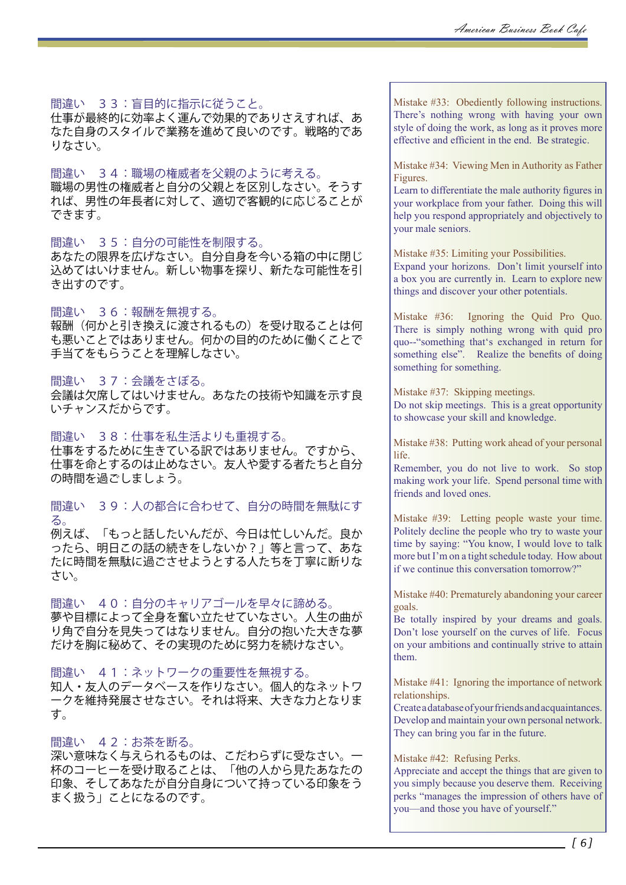間違い 33:盲目的に指示に従うこと。

仕事が最終的に効率よく運んで効果的でありさえすれば、あ なた自身のスタイルで業務を進めて良いのです。戦略的であ りなさい。

間違い 34:職場の権威者を父親のように考える。 職場の男性の権威者と自分の父親とを区別しなさい。そうす れば、男性の年長者に対して、適切で客観的に応じることが できます。

### 間違い 35:自分の可能性を制限する。

あなたの限界を広げなさい。自分自身を今いる箱の中に閉じ 込めてはいけません。新しい物事を探り、新たな可能性を引 き出すのです。

間違い 36:報酬を無視する。

報酬(何かと引き換えに渡されるもの)を受け取ることは何 も悪いことではありません。何かの目的のために働くことで 手当てをもらうことを理解しなさい。

### 間違い 37:会議をさぼる。

会議は欠席してはいけません。あなたの技術や知識を示す良 いチャンスだからです。

間違い 38:仕事を私生活よりも重視する。 仕事をするために生きている訳ではありません。ですから、 仕事を命とするのは止めなさい。友人や愛する者たちと自分 の時間を過ごしましょう。

間違い 39:人の都合に合わせて、自分の時間を無駄にす る。

例えば、「もっと話したいんだが、今日は忙しいんだ。良か ったら、明日この話の続きをしないか?」等と言って、あな たに時間を無駄に過ごさせようとする人たちを丁寧に断りな さい。

間違い 40:自分のキャリアゴールを早々に諦める。 夢や目標によって全身を奮い立たせていなさい。人生の曲が り角で自分を見失ってはなりません。自分の抱いた大きな夢 だけを胸に秘めて、その実現のために努力を続けなさい。

間違い 41:ネットワークの重要性を無視する。 知人・友人のデータベースを作りなさい。個人的なネットワ ークを維持発展させなさい。それは将来、大きな力となりま す。

間違い 42:お茶を断る。 深い意味なく与えられるものは、こだわらずに受なさい。一 杯のコーヒーを受け取ることは、「他の人から見たあなたの 印象、そしてあなたが自分自身について持っている印象をう まく扱う」ことになるのです。

Mistake #33: Obediently following instructions. There's nothing wrong with having your own style of doing the work, as long as it proves more effective and efficient in the end. Be strategic.

Mistake #34: Viewing Men in Authority as Father Figures.

Learn to differentiate the male authority figures in your workplace from your father. Doing this will help you respond appropriately and objectively to your male seniors.

Mistake #35: Limiting your Possibilities.

Expand your horizons. Don't limit yourself into a box you are currently in. Learn to explore new things and discover your other potentials.

Mistake #36: Ignoring the Quid Pro Quo. There is simply nothing wrong with quid pro quo--"something that's exchanged in return for something else". Realize the benefits of doing something for something.

Mistake #37: Skipping meetings. Do not skip meetings. This is a great opportunity to showcase your skill and knowledge.

Mistake #38: Putting work ahead of your personal life.

Remember, you do not live to work. So stop making work your life. Spend personal time with friends and loved ones.

Mistake #39: Letting people waste your time. Politely decline the people who try to waste your time by saying: "You know, I would love to talk more but I'm on a tight schedule today. How about if we continue this conversation tomorrow?"

Mistake #40: Prematurely abandoning your career goals.

Be totally inspired by your dreams and goals. Don't lose yourself on the curves of life. Focus on your ambitions and continually strive to attain them.

Mistake #41: Ignoring the importance of network relationships.

Create a database of your friends and acquaintances. Develop and maintain your own personal network. They can bring you far in the future.

Mistake #42: Refusing Perks.

Appreciate and accept the things that are given to you simply because you deserve them. Receiving perks "manages the impression of others have of you—and those you have of yourself."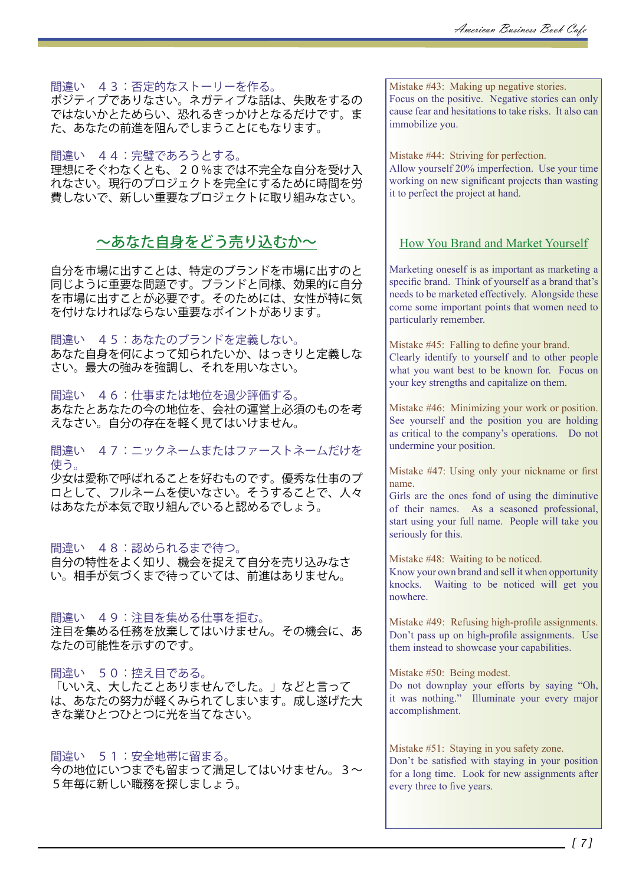間違い 43:否定的なストーリーを作る。

ポジティプでありなさい。ネガティブな話は、失敗をするの ではないかとためらい、恐れるきっかけとなるだけです。ま た、あなたの前進を阻んでしまうことにもなります。

間違い 44:完璧であろうとする。 理想にそぐわなくとも、20%までは不完全な自分を受け入 れなさい。現行のプロジェクトを完全にするために時間を労 費しないで、新しい重要なプロジェクトに取り組みなさい。

# ~あなた自身をどう売り込むか~

自分を市場に出すことは、特定のブランドを市場に出すのと 同じように重要な問題です。ブランドと同様、効果的に自分 を市場に出すことが必要です。そのためには、女性が特に気 を付けなければならない重要なポイントがあります。

間違い 45:あなたのブランドを定義しない。 あなた自身を何によって知られたいか、はっきりと定義しな さい。最大の強みを強調し、それを用いなさい。

間違い 46:仕事または地位を過少評価する。 あなたとあなたの今の地位を、会社の運営上必須のものを考 えなさい。自分の存在を軽く見てはいけません。

間違い 47:ニックネームまたはファーストネームだけを 使う。

少女は愛称で呼ばれることを好むものです。優秀な仕事のプ ロとして、フルネームを使いなさい。そうすることで、人々 はあなたが本気で取り組んでいると認めるでしょう。

## 間違い 48:認められるまで待つ。

自分の特性をよく知り、機会を捉えて自分を売り込みなさ い。相手が気づくまで待っていては、前進はありません。

間違い 49:注目を集める仕事を拒む。 注目を集める任務を放棄してはいけません。その機会に、あ なたの可能性を示すのです。

間違い 50:控え目である。 「いいえ、大したことありませんでした。」などと言って は、あなたの努力が軽くみられてしまいます。成し遂げた大 きな業ひとつひとつに光を当てなさい。

間違い 51:安全地帯に留まる。 今の地位にいつまでも留まって満足してはいけません。3~ 5年毎に新しい職務を探しましょう。

Mistake #43: Making up negative stories. Focus on the positive. Negative stories can only cause fear and hesitations to take risks. It also can immobilize you.

Mistake #44: Striving for perfection. Allow yourself 20% imperfection. Use your time working on new significant projects than wasting it to perfect the project at hand.

## How You Brand and Market Yourself

Marketing oneself is as important as marketing a specific brand. Think of yourself as a brand that's needs to be marketed effectively. Alongside these come some important points that women need to particularly remember.

Mistake #45: Falling to define your brand. Clearly identify to yourself and to other people what you want best to be known for. Focus on your key strengths and capitalize on them.

Mistake #46: Minimizing your work or position. See yourself and the position you are holding as critical to the company's operations. Do not undermine your position.

Mistake #47: Using only your nickname or first name.

Girls are the ones fond of using the diminutive of their names. As a seasoned professional, start using your full name. People will take you seriously for this.

Mistake #48: Waiting to be noticed.

Know your own brand and sell it when opportunity knocks. Waiting to be noticed will get you nowhere.

Mistake #49: Refusing high-profile assignments. Don't pass up on high-profile assignments. Use them instead to showcase your capabilities.

Mistake #50: Being modest.

Do not downplay your efforts by saying "Oh, it was nothing." Illuminate your every major accomplishment.

Mistake #51: Staying in you safety zone. Don't be satisfied with staying in your position for a long time. Look for new assignments after every three to five years.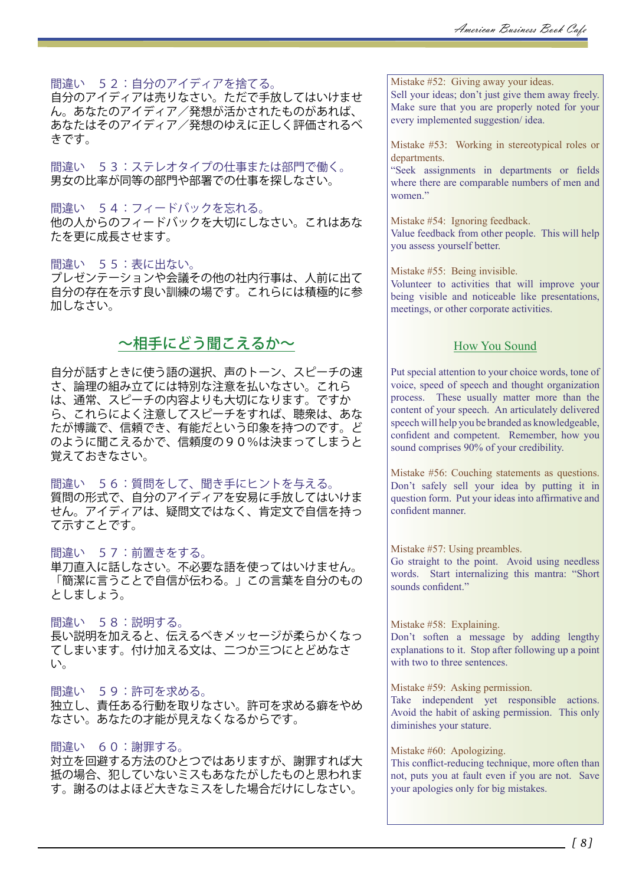間違い 52:自分のアイディアを捨てる。 自分のアイディアは売りなさい。ただで手放してはいけませ ん。あなたのアイディア/発想が活かされたものがあれば、 あなたはそのアイディア/発想のゆえに正しく評価されるべ きです。

間違い 53:ステレオタイプの仕事または部門で働く。 男女の比率が同等の部門や部署での仕事を探しなさい。

間違い 54:フィードバックを忘れる。 他の人からのフィードバックを大切にしなさい。これはあな たを更に成長させます。

### 間違い 55:表に出ない。

プレゼンテーションや会議その他の社内行事は、人前に出て 自分の存在を示す良い訓練の場です。これらには積極的に参 加しなさい。

# ~相手にどう聞こえるか~

自分が話すときに使う語の選択、声のトーン、スピーチの速 さ、論理の組み立てには特別な注意を払いなさい。これら は、通常、スピーチの内容よりも大切になります。ですか ら、これらによく注意してスピーチをすれば、聴衆は、あな たが博識で、信頼でき、有能だという印象を持つのです。ど のように聞こえるかで、信頼度の90%は決まってしまうと 覚えておきなさい。

間違い 56:質問をして、聞き手にヒントを与える。 質問の形式で、自分のアイディアを安易に手放してはいけま せん。アイディアは、疑問文ではなく、肯定文で自信を持っ て示すことです。

### 間違い 57:前置きをする。

単刀直入に話しなさい。不必要な語を使ってはいけません。 「簡潔に言うことで自信が伝わる。」この言葉を自分のもの としましょう。

間違い 58:説明する。

長い説明を加えると、伝えるべきメッセージが柔らかくなっ ーーーーのコーラー<br>てしまいます。付け加える文は、二つか三つにとどめなさ い。

### 間違い 59:許可を求める。

独立し、責任ある行動を取りなさい。許可を求める癖をやめ なさい。あなたの才能が見えなくなるからです。

### 間違い 60:謝罪する。

対立を回避する方法のひとつではありますが、謝罪すれば大 抵の場合、犯していないミスもあなたがしたものと思われま す。謝るのはよほど大きなミスをした場合だけにしなさい。

Mistake #52: Giving away your ideas. Sell your ideas; don't just give them away freely. Make sure that you are properly noted for your every implemented suggestion/ idea.

Mistake #53: Working in stereotypical roles or departments.

"Seek assignments in departments or fields where there are comparable numbers of men and women."

Mistake #54: Ignoring feedback. Value feedback from other people. This will help you assess yourself better.

Mistake #55: Being invisible.

Volunteer to activities that will improve your being visible and noticeable like presentations, meetings, or other corporate activities.

# How You Sound

Put special attention to your choice words, tone of voice, speed of speech and thought organization process. These usually matter more than the content of your speech. An articulately delivered speech will help you be branded as knowledgeable, confident and competent. Remember, how you sound comprises 90% of your credibility.

Mistake #56: Couching statements as questions. Don't safely sell your idea by putting it in question form. Put your ideas into affirmative and confident manner.

### Mistake #57: Using preambles.

Go straight to the point. Avoid using needless words. Start internalizing this mantra: "Short sounds confident."

Mistake #58: Explaining.

Don't soften a message by adding lengthy explanations to it. Stop after following up a point with two to three sentences.

### Mistake #59: Asking permission.

Take independent yet responsible actions. Avoid the habit of asking permission. This only diminishes your stature.

### Mistake #60: Apologizing.

This conflict-reducing technique, more often than not, puts you at fault even if you are not. Save your apologies only for big mistakes.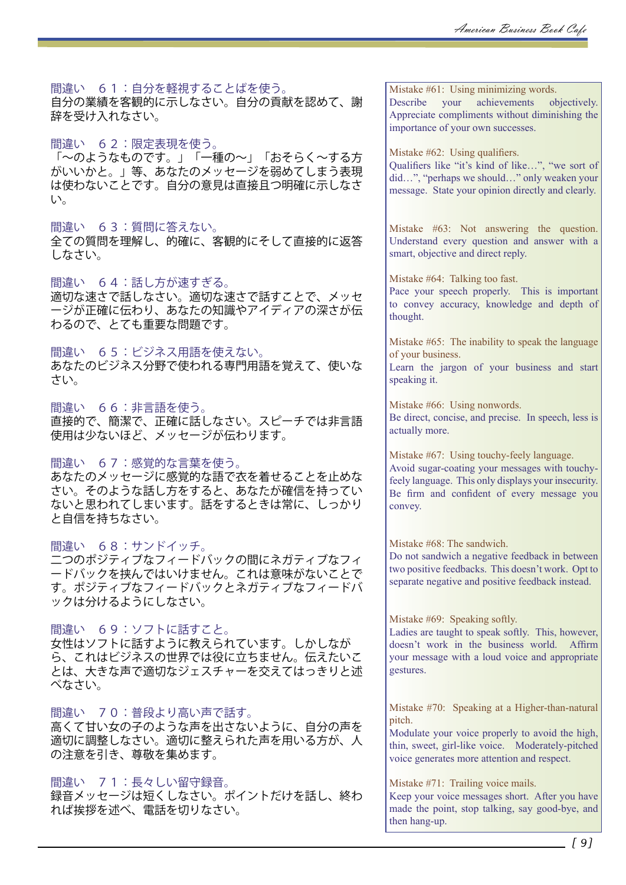間違い 61:自分を軽視することばを使う。

自分の業績を客観的に示しなさい。自分の貢献を認めて、謝 辞を受け入れなさい。

間違い 62:限定表現を使う。

「~のようなものです。」「一種の~」「おそらく~する方 がいいかと。」等、あなたのメッセージを弱めてしまう表現 は使わないことです。自分の意見は直接且つ明確に示しなさ い。

### 間違い 63:質問に答えない。

全ての質問を理解し、的確に、客観的にそして直接的に返答 しなさい。

間違い 64:話し方が速すぎる。

適切な速さで話しなさい。適切な速さで話すことで、メッセ ージが正確に伝わり、あなたの知識やアイディアの深さが伝 わるので、とても重要な問題です。

間違い 65:ビジネス用語を使えない。

あなたのビジネス分野で使われる専門用語を覚えて、使いな さい。

間違い 66:非言語を使う。 直接的で、簡潔で、正確に話しなさい。スピーチでは非言語 使用は少ないほど、メッセージが伝わります。

### 間違い 67:感覚的な言葉を使う。

あなたのメッセージに感覚的な語で衣を着せることを止めな さい。そのような話し方をすると、あなたが確信を持ってい ないと思われてしまいます。話をするときは常に、しっかり と自信を持ちなさい。

### 間違い 68:サンドイッチ。

二つのポジティブなフィードバックの間にネガティブなフィ ードバックを挟んではいけません。これは意味がないことで す。ポジティブなフィードバックとネガティブなフィードバ ックは分けるようにしなさい。

間違い 69:ソフトに話すこと。

女性はソフトに話すように教えられています。しかしなが ら、これはビジネスの世界では役に立ちません。伝えたいこ とは、大きな声で適切なジェスチャーを交えてはっきりと述 べなさい。

間違い 70:普段より高い声で話す。

高くて甘い女の子のような声を出さないように、自分の声を 適切に調整しなさい。適切に整えられた声を用いる方が、人 の注意を引き、尊敬を集めます。

### 間違い 71:長々しい留守録音。

録音メッセージは短くしなさい。ポイントだけを話し、終わ れば挨拶を述べ、電話を切りなさい。

Mistake #61: Using minimizing words. Describe your achievements objectively. Appreciate compliments without diminishing the importance of your own successes.

Mistake #62: Using qualifiers.

Qualifiers like "it's kind of like…", "we sort of did…", "perhaps we should…" only weaken your message. State your opinion directly and clearly.

Mistake #63: Not answering the question. Understand every question and answer with a smart, objective and direct reply.

Mistake #64: Talking too fast.

Pace your speech properly. This is important to convey accuracy, knowledge and depth of thought.

Mistake #65: The inability to speak the language of your business.

Learn the jargon of your business and start speaking it.

Mistake #66: Using nonwords. Be direct, concise, and precise. In speech, less is actually more.

Mistake #67: Using touchy-feely language. Avoid sugar-coating your messages with touchyfeely language. This only displays your insecurity. Be firm and confident of every message you convey.

Mistake #68: The sandwich.

Do not sandwich a negative feedback in between two positive feedbacks. This doesn't work. Opt to separate negative and positive feedback instead.

Mistake #69: Speaking softly.

Ladies are taught to speak softly. This, however, doesn't work in the business world. Affirm your message with a loud voice and appropriate gestures.

Mistake #70: Speaking at a Higher-than-natural pitch.

Modulate your voice properly to avoid the high, thin, sweet, girl-like voice. Moderately-pitched voice generates more attention and respect.

Mistake #71: Trailing voice mails.

Keep your voice messages short. After you have made the point, stop talking, say good-bye, and then hang-up.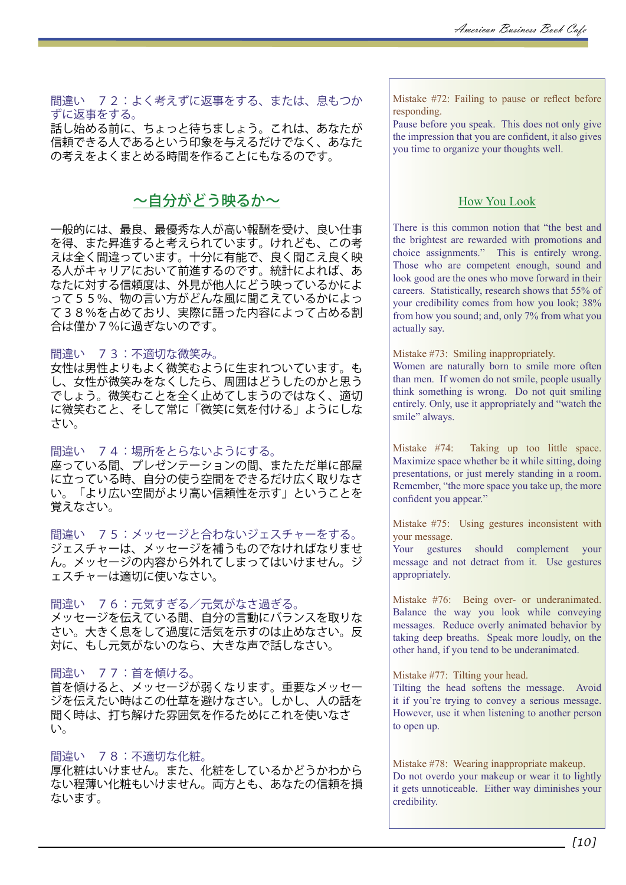間違い 72:よく考えずに返事をする、または、息もつか ずに返事をする。

話し始める前に、ちょっと待ちましょう。これは、あなたが 信頼できる人であるという印象を与えるだけでなく、あなた の考えをよくまとめる時間を作ることにもなるのです。

# ~自分がどう映るか~

一般的には、最良、最優秀な人が高い報酬を受け、良い仕事 を得、また昇進すると考えられています。けれども、この考 えは全く間違っています。十分に有能で、良く聞こえ良く映 る人がキャリアにおいて前進するのです。統計によれば、あ なたに対する信頼度は、外見が他人にどう映っているかによ って55%、物の言い方がどんな風に聞こえているかによっ て38%を占めており、実際に語った内容によって占める割 合は僅か7%に過ぎないのです。

### 間違い 73:不適切な微笑み。

女性は男性よりもよく微笑むように生まれついています。も し、女性が微笑みをなくしたら、周囲はどうしたのかと思う でしょう。微笑むことを全く止めてしまうのではなく、適切 に微笑むこと、そして常に「微笑に気を付ける」ようにしな さい。

### 間違い 74:場所をとらないようにする。

座っている間、プレゼンテーションの間、またただ単に部屋 に立っている時、自分の使う空間をできるだけ広く取りなさ い。「より広い空間がより高い信頼性を示す」ということを 覚えなさい。

間違い 75:メッセージと合わないジェスチャーをする。 ジェスチャーは、メッセージを補うものでなければなりませ ん。メッセージの内容から外れてしまってはいけません。ジ ェスチャーは適切に使いなさい。

間違い 76:元気すぎる/元気がなさ過ぎる。 メッセージを伝えている間、自分の言動にバランスを取りな さい。大きく息をして過度に活気を示すのは止めなさい。反 対に、もし元気がないのなら、大きな声で話しなさい。

### 間違い 77:首を傾ける。

首を傾けると、メッセージが弱くなります。重要なメッセー ジを伝えたい時はこの仕草を避けなさい。しかし、人の話を 聞く時は、打ち解けた雰囲気を作るためにこれを使いなさ い。

### 間違い 78:不適切な化粧。

厚化粧はいけません。また、化粧をしているかどうかわから ない程薄い化粧もいけません。両方とも、あなたの信頼を損 ないます。

Mistake #72: Failing to pause or reflect before responding.

Pause before you speak. This does not only give the impression that you are confident, it also gives you time to organize your thoughts well.

## How You Look

There is this common notion that "the best and the brightest are rewarded with promotions and choice assignments." This is entirely wrong. Those who are competent enough, sound and look good are the ones who move forward in their careers. Statistically, research shows that 55% of your credibility comes from how you look; 38% from how you sound; and, only 7% from what you actually say.

Mistake #73: Smiling inappropriately.

Women are naturally born to smile more often than men. If women do not smile, people usually think something is wrong. Do not quit smiling entirely. Only, use it appropriately and "watch the smile" always.

Mistake #74: Taking up too little space. Maximize space whether be it while sitting, doing presentations, or just merely standing in a room. Remember, "the more space you take up, the more confident you appear."

Mistake #75: Using gestures inconsistent with your message.

Your gestures should complement your message and not detract from it. Use gestures appropriately.

Mistake #76: Being over- or underanimated. Balance the way you look while conveying messages. Reduce overly animated behavior by taking deep breaths. Speak more loudly, on the other hand, if you tend to be underanimated.

Mistake #77: Tilting your head.

Tilting the head softens the message. Avoid it if you're trying to convey a serious message. However, use it when listening to another person to open up.

Mistake #78: Wearing inappropriate makeup. Do not overdo your makeup or wear it to lightly it gets unnoticeable. Either way diminishes your credibility.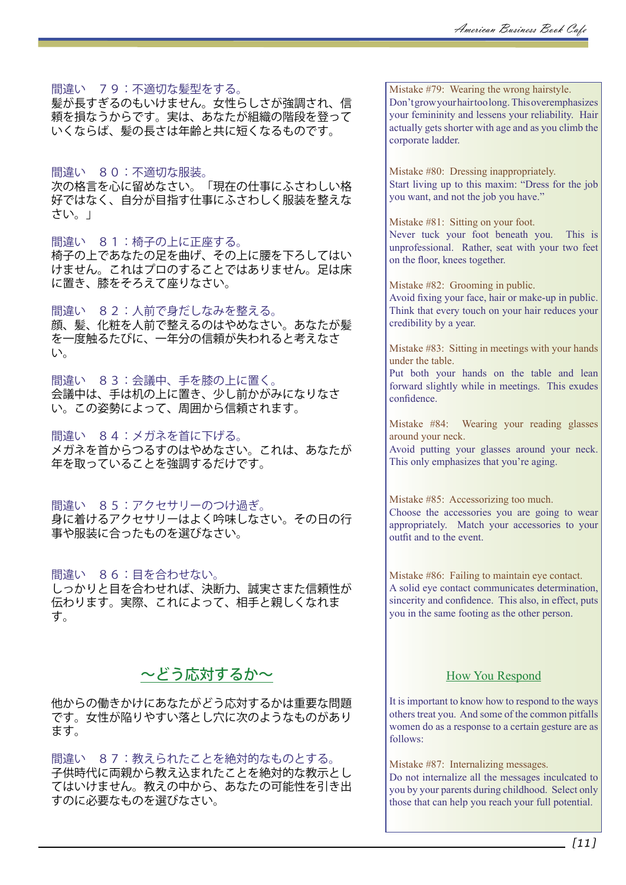間違い 79:不適切な髪型をする。

髪が長すぎるのもいけません。女性らしさが強調され、信 頼を損なうからです。実は、あなたが組織の階段を登って いくならば、髪の長さは年齢と共に短くなるものです。

間違い 80:不適切な服装。 次の格言を心に留めなさい。「現在の仕事にふさわしい格 好ではなく、自分が目指す仕事にふさわしく服装を整えな さい。」

間違い 81:椅子の上に正座する。 椅子の上であなたの足を曲げ、その上に腰を下ろしてはい けません。これはプロのすることではありません。足は床 に置き、膝をそろえて座りなさい。

間違い 82:人前で身だしなみを整える。 顔、髪、化粧を人前で整えるのはやめなさい。あなたが髪 を一度触るたびに、一年分の信頼が失われると考えなさ い。

間違い 83:会議中、手を膝の上に置く。 会議中は、手は机の上に置き、少し前かがみになりなさ い。この姿勢によって、周囲から信頼されます。

間違い 84:メガネを首に下げる。 メガネを首からつるすのはやめなさい。これは、あなたが 年を取っていることを強調するだけです。

間違い 85:アクセサリーのつけ過ぎ。 身に着けるアクセサリーはよく吟味しなさい。その日の行 事や服装に合ったものを選びなさい。

間違い 86:目を合わせない。 しっかりと目を合わせれば、決断力、誠実さまた信頼性が 伝わります。実際、これによって、相手と親しくなれま す。

# ~どう応対するか~

他からの働きかけにあなたがどう応対するかは重要な問題 です。女性が陥りやすい落とし穴に次のようなものがあり ます。

間違い 87:教えられたことを絶対的なものとする。 子供時代に両親から教え込まれたことを絶対的な教示とし てはいけません。教えの中から、あなたの可能性を引き出 すのに必要なものを選びなさい。

Mistake #79: Wearing the wrong hairstyle. Don't grow your hair too long. This overemphasizes your femininity and lessens your reliability. Hair actually gets shorter with age and as you climb the corporate ladder.

Mistake #80: Dressing inappropriately. Start living up to this maxim: "Dress for the job you want, and not the job you have."

Mistake #81: Sitting on your foot. Never tuck your foot beneath you. This is unprofessional. Rather, seat with your two feet on the floor, knees together.

Mistake #82: Grooming in public. Avoid fixing your face, hair or make-up in public. Think that every touch on your hair reduces your credibility by a year.

Mistake #83: Sitting in meetings with your hands under the table.

Put both your hands on the table and lean forward slightly while in meetings. This exudes confidence.

Mistake #84: Wearing your reading glasses around your neck.

Avoid putting your glasses around your neck. This only emphasizes that you're aging.

Mistake #85: Accessorizing too much. Choose the accessories you are going to wear appropriately. Match your accessories to your outfit and to the event.

Mistake #86: Failing to maintain eye contact. A solid eye contact communicates determination, sincerity and confidence. This also, in effect, puts you in the same footing as the other person.

## How You Respond

It is important to know how to respond to the ways others treat you. And some of the common pitfalls women do as a response to a certain gesture are as follows:

Mistake #87: Internalizing messages. Do not internalize all the messages inculcated to you by your parents during childhood. Select only those that can help you reach your full potential.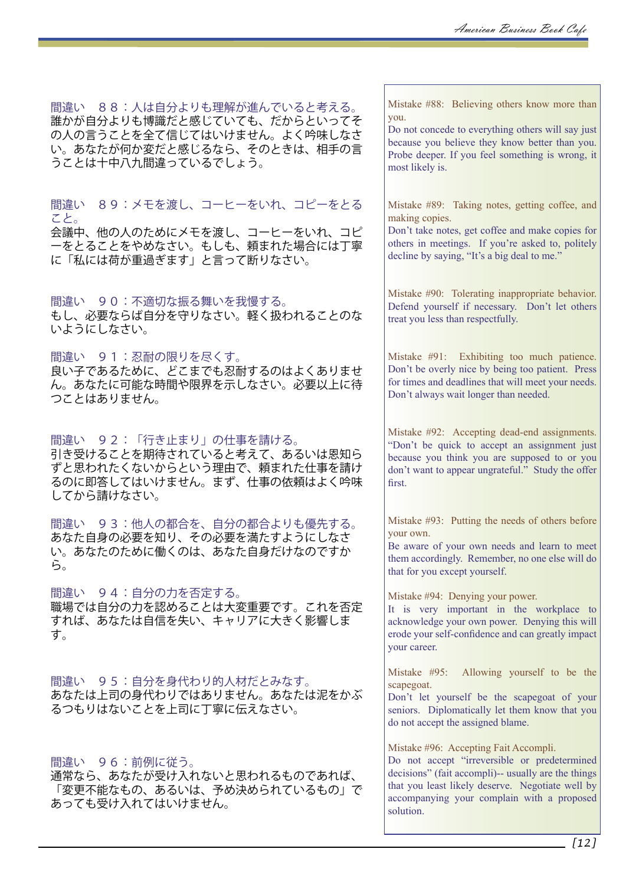間違い 88:人は自分よりも理解が進んでいると考える。 誰かが自分よりも博識だと感じていても、だからといってそ の人の言うことを全て信じてはいけません。よく吟味しなさ い。あなたが何か変だと感じるなら、そのときは、相手の言 うことは十中八九間違っているでしょう。

間違い 89:メモを渡し、コーヒーをいれ、コピーをとる こと。

会議中、他の人のためにメモを渡し、コーヒーをいれ、コピ ーをとることをやめなさい。もしも、頼まれた場合には丁寧 に「私には荷が重過ぎます」と言って断りなさい。

間違い 90:不適切な振る舞いを我慢する。 もし、必要ならば自分を守りなさい。軽く扱われることのな いようにしなさい。

間違い 91:忍耐の限りを尽くす。 良い子であるために、どこまでも忍耐するのはよくありませ ん。あなたに可能な時間や限界を示しなさい。必要以上に待 つことはありません。

間違い 92:「行き止まり」の仕事を請ける。 引き受けることを期待されていると考えて、あるいは恩知ら ずと思われたくないからという理由で、頼まれた仕事を請け るのに即答してはいけません。まず、仕事の依頼はよく吟味 してから請けなさい。

間違い 93:他人の都合を、自分の都合よりも優先する。 あなた自身の必要を知り、その必要を満たすようにしなさ い。あなたのために働くのは、あなた自身だけなのですか ら。

間違い 94:自分の力を否定する。 職場では自分の力を認めることは大変重要です。これを否定 すれば、あなたは自信を失い、キャリアに大きく影響しま す。

間違い 95:自分を身代わり的人材だとみなす。 あなたは上司の身代わりではありません。あなたは泥をかぶ るつもりはないことを上司に丁寧に伝えなさい。

間違い 96:前例に従う。

通常なら、あなたが受け入れないと思われるものであれば、 「変更不能なもの、あるいは、予め決められているもの」で あっても受け入れてはいけません。

Mistake #88: Believing others know more than you.

Do not concede to everything others will say just because you believe they know better than you. Probe deeper. If you feel something is wrong, it most likely is.

Mistake #89: Taking notes, getting coffee, and making copies.

Don't take notes, get coffee and make copies for others in meetings. If you're asked to, politely decline by saying, "It's a big deal to me."

Mistake #90: Tolerating inappropriate behavior. Defend yourself if necessary. Don't let others treat you less than respectfully.

Mistake #91: Exhibiting too much patience. Don't be overly nice by being too patient. Press for times and deadlines that will meet your needs. Don't always wait longer than needed.

Mistake #92: Accepting dead-end assignments. "Don't be quick to accept an assignment just because you think you are supposed to or you don't want to appear ungrateful." Study the offer first.

Mistake #93: Putting the needs of others before your own.

Be aware of your own needs and learn to meet them accordingly. Remember, no one else will do that for you except yourself.

Mistake #94: Denying your power.

It is very important in the workplace to acknowledge your own power. Denying this will erode your self-confidence and can greatly impact your career.

Mistake #95: Allowing yourself to be the scapegoat.

Don't let yourself be the scapegoat of your seniors. Diplomatically let them know that you do not accept the assigned blame.

Mistake #96: Accepting Fait Accompli.

Do not accept "irreversible or predetermined decisions" (fait accompli)-- usually are the things that you least likely deserve. Negotiate well by accompanying your complain with a proposed solution.